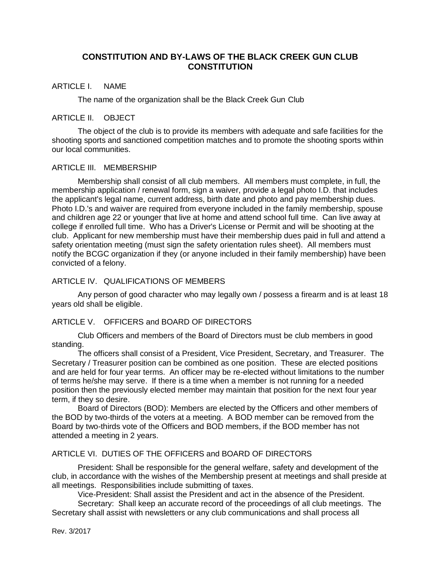# **CONSTITUTION AND BY-LAWS OF THE BLACK CREEK GUN CLUB CONSTITUTION**

#### ARTICLE I. NAME

The name of the organization shall be the Black Creek Gun Club

#### ARTICLE II. OBJECT

The object of the club is to provide its members with adequate and safe facilities for the shooting sports and sanctioned competition matches and to promote the shooting sports within our local communities.

#### ARTICLE III. MEMBERSHIP

Membership shall consist of all club members. All members must complete, in full, the membership application / renewal form, sign a waiver, provide a legal photo I.D. that includes the applicant's legal name, current address, birth date and photo and pay membership dues. Photo I.D.'s and waiver are required from everyone included in the family membership, spouse and children age 22 or younger that live at home and attend school full time. Can live away at college if enrolled full time. Who has a Driver's License or Permit and will be shooting at the club. Applicant for new membership must have their membership dues paid in full and attend a safety orientation meeting (must sign the safety orientation rules sheet). All members must notify the BCGC organization if they (or anyone included in their family membership) have been convicted of a felony.

### ARTICLE IV. QUALIFICATIONS OF MEMBERS

Any person of good character who may legally own / possess a firearm and is at least 18 years old shall be eligible.

### ARTICLE V. OFFICERS and BOARD OF DIRECTORS

Club Officers and members of the Board of Directors must be club members in good standing.

The officers shall consist of a President, Vice President, Secretary, and Treasurer. The Secretary / Treasurer position can be combined as one position. These are elected positions and are held for four year terms. An officer may be re-elected without limitations to the number of terms he/she may serve. If there is a time when a member is not running for a needed position then the previously elected member may maintain that position for the next four year term, if they so desire.

Board of Directors (BOD): Members are elected by the Officers and other members of the BOD by two-thirds of the voters at a meeting. A BOD member can be removed from the Board by two-thirds vote of the Officers and BOD members, if the BOD member has not attended a meeting in 2 years.

## ARTICLE VI. DUTIES OF THE OFFICERS and BOARD OF DIRECTORS

President: Shall be responsible for the general welfare, safety and development of the club, in accordance with the wishes of the Membership present at meetings and shall preside at all meetings. Responsibilities include submitting of taxes.

Vice-President: Shall assist the President and act in the absence of the President.

Secretary: Shall keep an accurate record of the proceedings of all club meetings. The Secretary shall assist with newsletters or any club communications and shall process all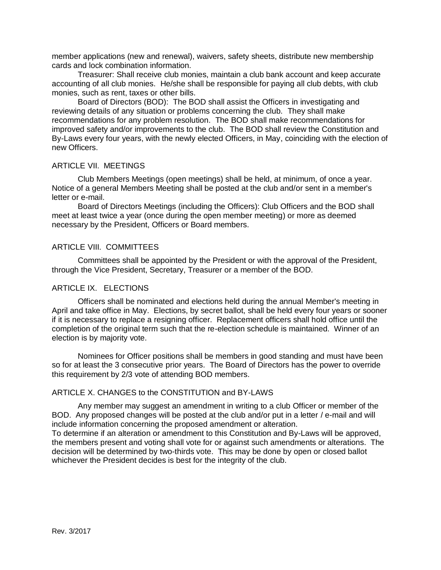member applications (new and renewal), waivers, safety sheets, distribute new membership cards and lock combination information.

Treasurer: Shall receive club monies, maintain a club bank account and keep accurate accounting of all club monies. He/she shall be responsible for paying all club debts, with club monies, such as rent, taxes or other bills.

Board of Directors (BOD): The BOD shall assist the Officers in investigating and reviewing details of any situation or problems concerning the club. They shall make recommendations for any problem resolution. The BOD shall make recommendations for improved safety and/or improvements to the club. The BOD shall review the Constitution and By-Laws every four years, with the newly elected Officers, in May, coinciding with the election of new Officers.

#### ARTICLE VII. MEETINGS

Club Members Meetings (open meetings) shall be held, at minimum, of once a year. Notice of a general Members Meeting shall be posted at the club and/or sent in a member's letter or e-mail.

Board of Directors Meetings (including the Officers): Club Officers and the BOD shall meet at least twice a year (once during the open member meeting) or more as deemed necessary by the President, Officers or Board members.

## ARTICLE VIII. COMMITTEES

Committees shall be appointed by the President or with the approval of the President, through the Vice President, Secretary, Treasurer or a member of the BOD.

### ARTICLE IX. ELECTIONS

Officers shall be nominated and elections held during the annual Member's meeting in April and take office in May. Elections, by secret ballot, shall be held every four years or sooner if it is necessary to replace a resigning officer. Replacement officers shall hold office until the completion of the original term such that the re-election schedule is maintained. Winner of an election is by majority vote.

Nominees for Officer positions shall be members in good standing and must have been so for at least the 3 consecutive prior years. The Board of Directors has the power to override this requirement by 2/3 vote of attending BOD members.

### ARTICLE X. CHANGES to the CONSTITUTION and BY-LAWS

Any member may suggest an amendment in writing to a club Officer or member of the BOD. Any proposed changes will be posted at the club and/or put in a letter / e-mail and will include information concerning the proposed amendment or alteration.

To determine if an alteration or amendment to this Constitution and By-Laws will be approved, the members present and voting shall vote for or against such amendments or alterations. The decision will be determined by two-thirds vote. This may be done by open or closed ballot whichever the President decides is best for the integrity of the club.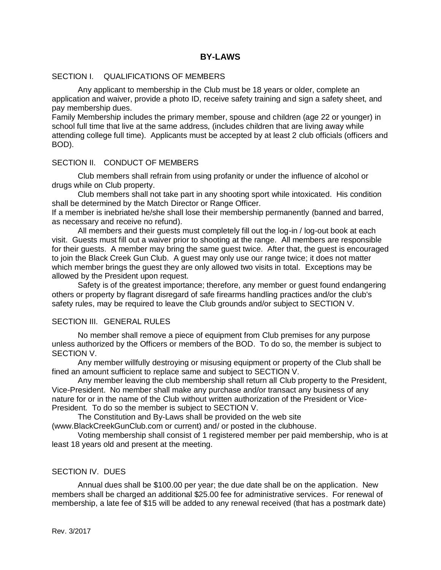## **BY-LAWS**

### SECTION I. QUALIFICATIONS OF MEMBERS

Any applicant to membership in the Club must be 18 years or older, complete an application and waiver, provide a photo ID, receive safety training and sign a safety sheet, and pay membership dues.

Family Membership includes the primary member, spouse and children (age 22 or younger) in school full time that live at the same address, (includes children that are living away while attending college full time). Applicants must be accepted by at least 2 club officials (officers and BOD).

### SECTION II. CONDUCT OF MEMBERS

Club members shall refrain from using profanity or under the influence of alcohol or drugs while on Club property.

Club members shall not take part in any shooting sport while intoxicated. His condition shall be determined by the Match Director or Range Officer.

If a member is inebriated he/she shall lose their membership permanently (banned and barred, as necessary and receive no refund).

All members and their guests must completely fill out the log-in / log-out book at each visit. Guests must fill out a waiver prior to shooting at the range. All members are responsible for their guests. A member may bring the same guest twice. After that, the guest is encouraged to join the Black Creek Gun Club. A guest may only use our range twice; it does not matter which member brings the guest they are only allowed two visits in total. Exceptions may be allowed by the President upon request.

Safety is of the greatest importance; therefore, any member or guest found endangering others or property by flagrant disregard of safe firearms handling practices and/or the club's safety rules, may be required to leave the Club grounds and/or subject to SECTION V.

#### SECTION III. GENERAL RULES

No member shall remove a piece of equipment from Club premises for any purpose unless authorized by the Officers or members of the BOD. To do so, the member is subject to SECTION V.

Any member willfully destroying or misusing equipment or property of the Club shall be fined an amount sufficient to replace same and subject to SECTION V.

Any member leaving the club membership shall return all Club property to the President, Vice-President. No member shall make any purchase and/or transact any business of any nature for or in the name of the Club without written authorization of the President or Vice-President. To do so the member is subject to SECTION V.

The Constitution and By-Laws shall be provided on the web site

(www.BlackCreekGunClub.com or current) and/ or posted in the clubhouse.

Voting membership shall consist of 1 registered member per paid membership, who is at least 18 years old and present at the meeting.

## SECTION IV. DUES

Annual dues shall be \$100.00 per year; the due date shall be on the application. New members shall be charged an additional \$25.00 fee for administrative services. For renewal of membership, a late fee of \$15 will be added to any renewal received (that has a postmark date)